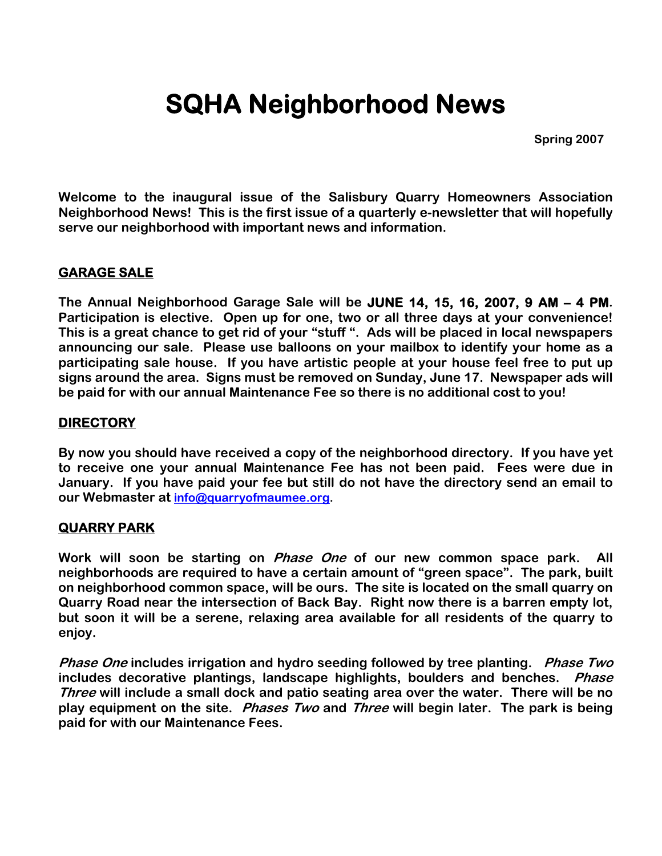# **SQHA Neighborhood News**

**Spring 2007** 

**Welcome to the inaugural issue of the Salisbury Quarry Homeowners Association Neighborhood News! This is the first issue of a quarterly e-newsletter that will hopefully serve our neighborhood with important news and information.** 

# **GARAGE SALE**

**The Annual Neighborhood Garage Sale will be JUNE 14, 15, 16, 2007, 9 AM – 4 PM. Participation is elective. Open up for one, two or all three days at your convenience! This is a great chance to get rid of your "stuff ". Ads will be placed in local newspapers announcing our sale. Please use balloons on your mailbox to identify your home as a participating sale house. If you have artistic people at your house feel free to put up signs around the area. Signs must be removed on Sunday, June 17. Newspaper ads will be paid for with our annual Maintenance Fee so there is no additional cost to you!** 

# **DIRECTORY**

**By now you should have received a copy of the neighborhood directory. If you have yet to receive one your annual Maintenance Fee has not been paid. Fees were due in January. If you have paid your fee but still do not have the directory send an email to our Webmaster at [info@quarryofmaumee.org](mailto:info@quarryofmaumee.org).** 

# **QUARRY PARK**

**Work will soon be starting on Phase One of our new common space park. All neighborhoods are required to have a certain amount of "green space". The park, built on neighborhood common space, will be ours. The site is located on the small quarry on Quarry Road near the intersection of Back Bay. Right now there is a barren empty lot, but soon it will be a serene, relaxing area available for all residents of the quarry to enjoy.** 

**Phase One includes irrigation and hydro seeding followed by tree planting. Phase Two includes decorative plantings, landscape highlights, boulders and benches. Phase Three will include a small dock and patio seating area over the water. There will be no play equipment on the site. Phases Two and Three will begin later. The park is being paid for with our Maintenance Fees.**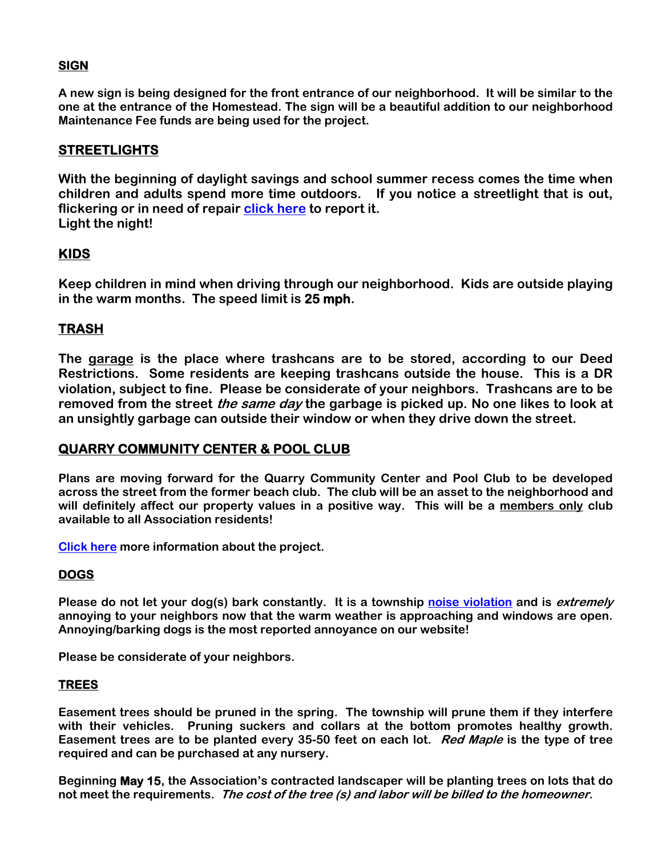# **SIGN**

**A new sign is being designed for the front entrance of our neighborhood. It will be similar to the one at the entrance of the Homestead. The sign will be a beautiful addition to our neighborhood Maintenance Fee funds are being used for the project.** 

# **STREETLIGHTS**

**With the beginning of daylight savings and school summer recess comes the time when children and adults spend more time outdoors. If you notice a streetlight that is out, flickering or in need of repair [click here](http://monclovatwp.org/street_light.html) to report it. Light the night!** 

# **KIDS**

**Keep children in mind when driving through our neighborhood. Kids are outside playing in the warm months. The speed limit is 25 mph.** 

# **TRASH**

**The garage is the place where trashcans are to be stored, according to our Deed Restrictions. Some residents are keeping trashcans outside the house. This is a DR violation, subject to fine. Please be considerate of your neighbors. Trashcans are to be removed from the street the same day the garbage is picked up. No one likes to look at an unsightly garbage can outside their window or when they drive down the street.** 

### **QUARRY COMMUNITY CENTER & POOL CLUB**

**Plans are moving forward for the Quarry Community Center and Pool Club to be developed across the street from the former beach club. The club will be an asset to the neighborhood and will definitely affect our property values in a positive way. This will be a members only club available to all Association residents!** 

**[Click here](http://www.quarrypoolclub.com/Home_Page.html) more information about the project.** 

#### **DOGS**

**Please do not let your dog(s) bark constantly. It is a township [noise violation](http://monclovatwp.org/sub/noise_resolution.pdf) and is extremely annoying to your neighbors now that the warm weather is approaching and windows are open. Annoying/barking dogs is the most reported annoyance on our website!** 

**Please be considerate of your neighbors.** 

#### **TREES**

**Easement trees should be pruned in the spring. The township will prune them if they interfere with their vehicles. Pruning suckers and collars at the bottom promotes healthy growth. Easement trees are to be planted every 35-50 feet on each lot. Red Maple is the type of tree required and can be purchased at any nursery.** 

**Beginning May 15, the Association's contracted landscaper will be planting trees on lots that do not meet the requirements. The cost of the tree (s) and labor will be billed to the homeowner.**